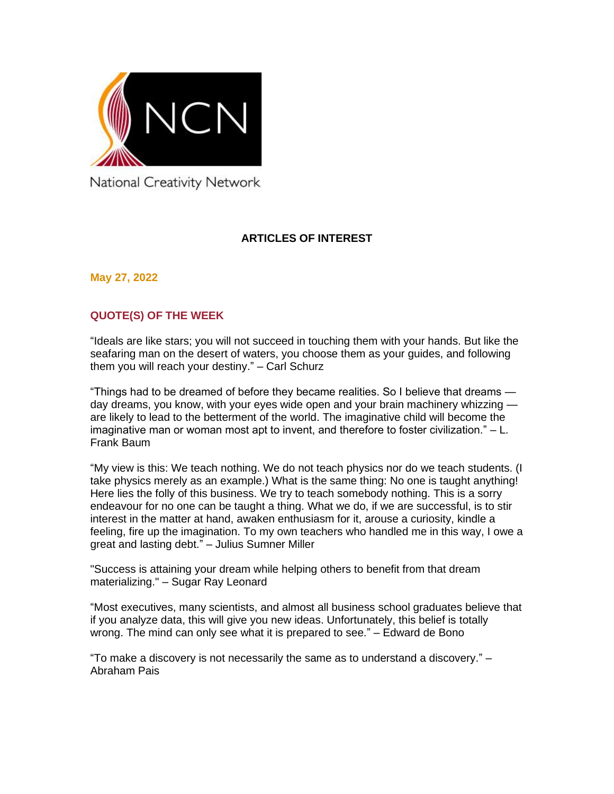

National Creativity Network

# **ARTICLES OF INTEREST**

**May 27, 2022**

# **QUOTE(S) OF THE WEEK**

"Ideals are like stars; you will not succeed in touching them with your hands. But like the seafaring man on the desert of waters, you choose them as your guides, and following them you will reach your destiny." – Carl Schurz

"Things had to be dreamed of before they became realities. So I believe that dreams day dreams, you know, with your eyes wide open and your brain machinery whizzing are likely to lead to the betterment of the world. The imaginative child will become the imaginative man or woman most apt to invent, and therefore to foster civilization." – L. Frank Baum

"My view is this: We teach nothing. We do not teach physics nor do we teach students. (I take physics merely as an example.) What is the same thing: No one is taught anything! Here lies the folly of this business. We try to teach somebody nothing. This is a sorry endeavour for no one can be taught a thing. What we do, if we are successful, is to stir interest in the matter at hand, awaken enthusiasm for it, arouse a curiosity, kindle a feeling, fire up the imagination. To my own teachers who handled me in this way, I owe a great and lasting debt." – Julius Sumner Miller

"Success is attaining your dream while helping others to benefit from that dream materializing." – Sugar Ray Leonard

"Most executives, many scientists, and almost all business school graduates believe that if you analyze data, this will give you new ideas. Unfortunately, this belief is totally wrong. The mind can only see what it is prepared to see." – Edward de Bono

"To make a discovery is not necessarily the same as to understand a discovery." – Abraham Pais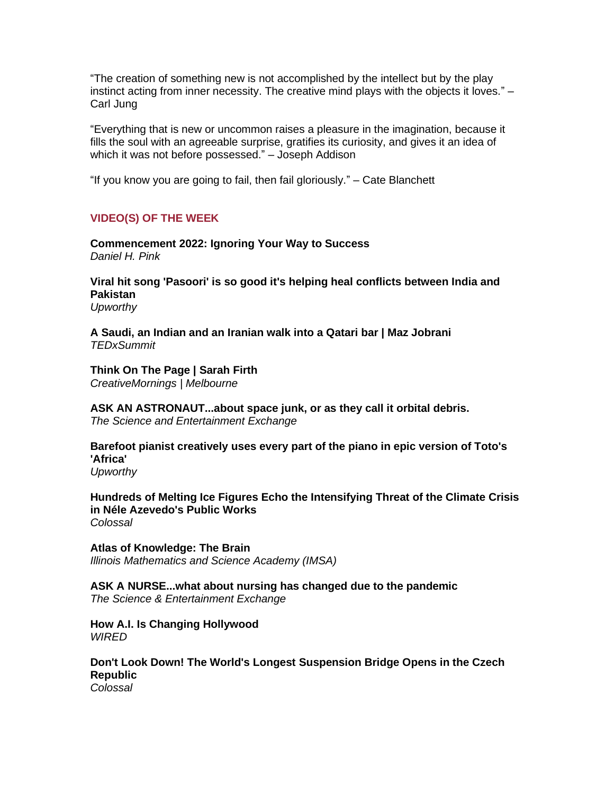"The creation of something new is not accomplished by the intellect but by the play instinct acting from inner necessity. The creative mind plays with the objects it loves." – Carl Jung

"Everything that is new or uncommon raises a pleasure in the imagination, because it fills the soul with an agreeable surprise, gratifies its curiosity, and gives it an idea of which it was not before possessed." – Joseph Addison

"If you know you are going to fail, then fail gloriously." – Cate Blanchett

# **VIDEO(S) OF THE WEEK**

**[Commencement 2022: Ignoring Your Way to Success](https://www.danpink.com/commencement-2022-ignoring-your-way-to-success/)** *Daniel H. Pink*

**[Viral hit song 'Pasoori' is so good it's helping heal conflicts between India and](https://www.upworthy.com/pasoori-song-india-pakistan)  [Pakistan](https://www.upworthy.com/pasoori-song-india-pakistan)** *Upworthy*

**[A Saudi, an Indian and an Iranian walk into a Qatari bar | Maz Jobrani](https://www.ted.com/talks/maz_jobrani_a_saudi_an_indian_and_an_iranian_walk_into_a_qatari_bar)** *TEDxSummit*

**[Think On The Page | Sarah Firth](https://creativemornings.com/talks/sarah-firth/1)** *CreativeMornings | Melbourne*

**[ASK AN ASTRONAUT...about space junk, or as they call it orbital debris.](https://youtu.be/Qq8MGnvH_OM)** *The Science and Entertainment Exchange*

**[Barefoot pianist creatively uses every part of the piano in epic version of Toto's](https://www.upworthy.com/peter-bence-plays-toto-on-piano)  ['Africa'](https://www.upworthy.com/peter-bence-plays-toto-on-piano)**

*Upworthy*

**[Hundreds of Melting Ice Figures Echo the Intensifying Threat of the Climate Crisis](https://www.thisiscolossal.com/2022/05/minimum-monument-nele-azevedo/)  [in Néle Azevedo's Public Works](https://www.thisiscolossal.com/2022/05/minimum-monument-nele-azevedo/)** *Colossal*

**[Atlas of Knowledge: The Brain](https://youtu.be/tz4JHr-sU40)** *Illinois Mathematics and Science Academy (IMSA)*

**[ASK A NURSE...what about nursing has changed due to the pandemic](https://youtu.be/wak_oDLAF6E)** *The Science & Entertainment Exchange*

**[How A.I. Is Changing Hollywood](https://www.wired.com/video/watch/wired-news-and-science-how-ai-is-changing-hollywood)** *WIRED*

**[Don't Look Down! The World's Longest Suspension Bridge Opens in the Czech](https://www.thisiscolossal.com/2022/05/sky-bridge-721/)  [Republic](https://www.thisiscolossal.com/2022/05/sky-bridge-721/)** *Colossal*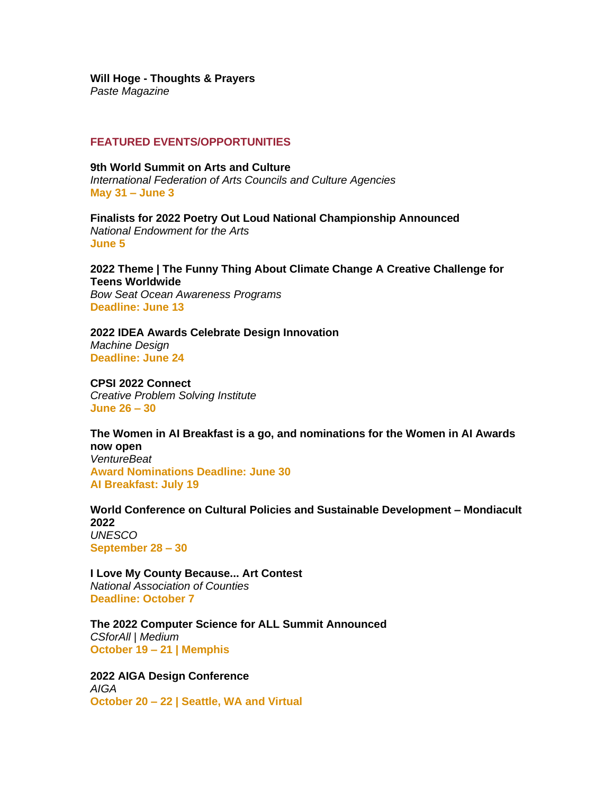#### **Will Hoge - [Thoughts & Prayers](https://youtu.be/73C179Lgyq8)**

*Paste Magazine*

## **FEATURED EVENTS/OPPORTUNITIES**

**[9th World Summit on Arts and Culture](https://www.artsummit.org/)** *International Federation of Arts Councils and Culture Agencies* **May 31 – June 3**

**[Finalists for 2022 Poetry Out Loud National Championship Announced](https://www.arts.gov/about/news/2022/finalists-2022-poetry-out-loud-national-championship-announced)** *National Endowment for the Arts* **June 5**

**[2022 Theme | The Funny Thing About Climate Change A Creative Challenge for](https://bowseat.org/programs/ocean-awareness-contest/contest-overview/)  [Teens Worldwide](https://bowseat.org/programs/ocean-awareness-contest/contest-overview/)** *Bow Seat Ocean Awareness Programs* **Deadline: June 13**

**[2022 IDEA Awards Celebrate Design Innovation](https://www.machinedesign.com/community/article/21241324/2022-idea-awards-celebrate-design-innovation)** *Machine Design* **Deadline: June 24**

**[CPSI 2022 Connect](https://cpsiconference.com/)** *Creative Problem Solving Institute* **June 26 – 30** 

**[The Women in AI Breakfast is a go, and nominations for the Women in AI Awards](https://venturebeat.com/2022/05/18/the-women-in-ai-breakfast-is-a-go-and-nominations-for-the-women-in-ai-awards-now-open/)  [now open](https://venturebeat.com/2022/05/18/the-women-in-ai-breakfast-is-a-go-and-nominations-for-the-women-in-ai-awards-now-open/)** *VentureBeat* **Award Nominations Deadline: June 30 AI Breakfast: July 19**

**[World Conference on Cultural Policies and Sustainable Development –](https://www.unesco.org/en/mondiacult2022) Mondiacult [2022](https://www.unesco.org/en/mondiacult2022)** *UNESCO* **September 28 – 30** 

**[I Love My County Because... Art Contest](https://www.naco.org/resources/i-love-my-county-because-art-contest)** *National Association of Counties* **Deadline: October 7**

**[The 2022 Computer Science for ALL Summit Announced](https://csforall.medium.com/the-2022-computer-science-for-all-summit-announced-dcb5d9c93667)** *CSforAll | Medium* **October 19 – 21 | Memphis**

**[2022 AIGA Design Conference](https://www.aiga.org/design/design-conferences/aiga-design-conference)** *AIGA* **October 20 – 22 | Seattle, WA and Virtual**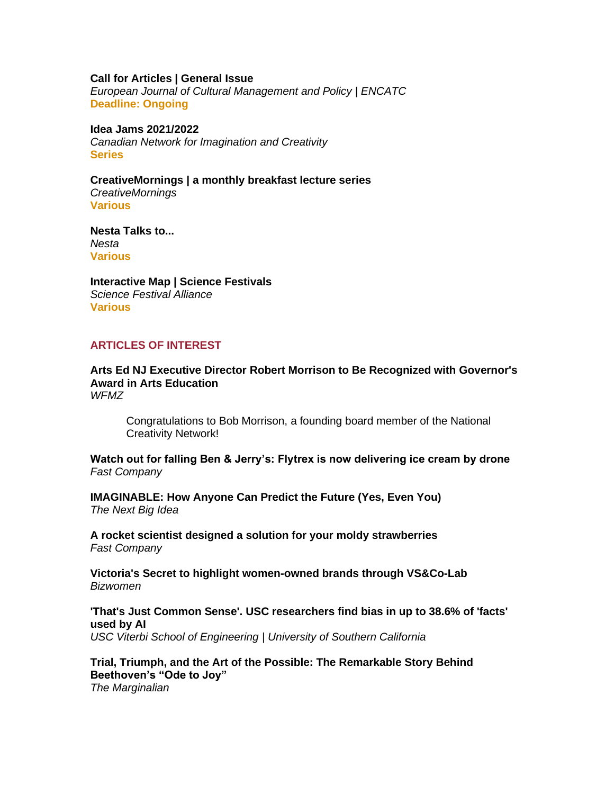#### **[Call for Articles | General Issue](https://www.encatc.org/en/upcoming-issues-and-call-for-articles/)**

*European Journal of Cultural Management and Policy | ENCATC* **Deadline: Ongoing**

#### **[Idea Jams 2021/2022](https://canadiannetworkforimaginationandcreativity.com/registerhere)**

*Canadian Network for Imagination and Creativity* **Series**

**[CreativeMornings | a monthly breakfast lecture series](http://www.creativemornings.com/)** *CreativeMornings* **Various**

**[Nesta Talks to...](https://www.nesta.org.uk/feature/nesta-talks-to/)** *Nesta* **Various**

**[Interactive Map | Science Festivals](https://sciencefestivals.org/festivals/)** *Science Festival Alliance* **Various**

## **ARTICLES OF INTEREST**

**[Arts Ed NJ Executive Director Robert Morrison to Be Recognized with Governor's](https://www.wfmz.com/news/pr_newswire/pr_newswire_new_jersey/arts-ed-nj-executive-director-robert-morrison-to-be-recognized-with-governors-award-in-arts/article_65eb5d70-c5b4-5580-b035-e7c77f036f45.html)  [Award in Arts Education](https://www.wfmz.com/news/pr_newswire/pr_newswire_new_jersey/arts-ed-nj-executive-director-robert-morrison-to-be-recognized-with-governors-award-in-arts/article_65eb5d70-c5b4-5580-b035-e7c77f036f45.html)** *WFMZ*

Congratulations to Bob Morrison, a founding board member of the National Creativity Network!

**[Watch out for falling Ben & Jerry's: Flytrex is now delivering ice cream by drone](https://www.fastcompany.com/90756001/flytrex-drones-ice-cream-delivery-texas-nc)** *Fast Company*

**[IMAGINABLE: How Anyone Can Predict the Future \(Yes, Even You\)](https://podcasts.apple.com/us/podcast/the-next-big-idea/id1482067226)** *The Next Big Idea*

**[A rocket scientist designed a solution for your moldy strawberries](https://www.fastcompany.com/90753062/a-rocket-scientist-designed-a-solution-for-your-moldy-strawberries)** *Fast Company*

**[Victoria's Secret to highlight women-owned brands through VS&Co-Lab](https://www.bizjournals.com/bizwomen/news/latest-news/2022/05/victorias-secret-vsco-lab-highlight-women-minori.html)** *Bizwomen*

**['That's Just Common Sense'. USC researchers find bias in up to 38.6% of 'facts'](https://viterbischool.usc.edu/news/2022/05/thats-just-common-sense-usc-researchers-find-bias-in-up-to-38-6-of-facts-used-by-ai/)  [used by AI](https://viterbischool.usc.edu/news/2022/05/thats-just-common-sense-usc-researchers-find-bias-in-up-to-38-6-of-facts-used-by-ai/)** *USC Viterbi School of Engineering | University of Southern California*

**[Trial, Triumph, and the Art of the Possible: The Remarkable Story Behind](https://www.themarginalian.org/2022/05/17/beethoven-ode-to-joy/)  [Beethoven's "Ode to Joy"](https://www.themarginalian.org/2022/05/17/beethoven-ode-to-joy/)** *The Marginalian*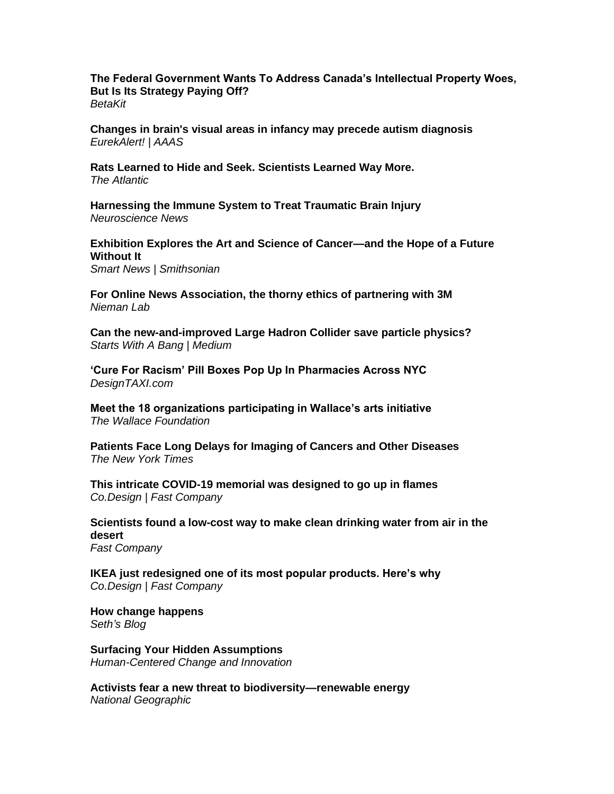**[The Federal Government Wants To Address Canada's Intellectual Property Woes,](https://betakit.com/the-federal-government-wants-to-address-canadas-intellectual-property-woes-but-is-its-strategy-paying-off/)  [But Is Its Strategy Paying Off?](https://betakit.com/the-federal-government-wants-to-address-canadas-intellectual-property-woes-but-is-its-strategy-paying-off/)** *BetaKit*

**[Changes in brain's visual areas in infancy may precede autism diagnosis](https://www.eurekalert.org/news-releases/953752)** *EurekAlert! | AAAS*

**[Rats Learned to Hide and Seek. Scientists Learned Way More.](https://www.theatlantic.com/science/archive/2022/05/rat-brain-behavior-neuroscience-research/631646/)** *The Atlantic* 

**[Harnessing the Immune System to Treat Traumatic Brain Injury](https://neurosciencenews.com/tbi-immune-system-20671/)** *Neuroscience News* 

**[Exhibition Explores the Art and Science of Cancer—and the Hope of a Future](https://www.smithsonianmag.com/smart-news/exhibition-explores-art-science-cancer-hope-future-without-it-180980159/)  [Without It](https://www.smithsonianmag.com/smart-news/exhibition-explores-art-science-cancer-hope-future-without-it-180980159/)**

*Smart News | Smithsonian*

**[For Online News Association, the thorny ethics of partnering with 3M](https://www.niemanlab.org/2022/05/for-online-news-association-the-thorny-ethics-of-partnering-with-3m/)** *Nieman Lab*

**[Can the new-and-improved Large Hadron Collider save particle physics?](https://medium.com/starts-with-a-bang/can-the-new-and-improved-large-hadron-collider-save-particle-physics-34be15fd29c0)** *Starts With A Bang | Medium*

**['Cure For Racism' Pill Boxes Pop Up In Pharmacies Across NYC](https://designtaxi.com/news/418826/Cure-For-Racism-Pill-Boxes-Pop-Up-In-Pharmacies-Across-NYC/)** *DesignTAXI.com*

**[Meet the 18 organizations participating in Wallace's arts initiative](https://www.wallacefoundation.org/knowledge-center/the-arts/pages/meet-the-18-organizations-participating-in-wallaces-arts-initiative.aspx)** *The Wallace Foundation*

**[Patients Face Long Delays for Imaging of Cancers and Other Diseases](https://www.nytimes.com/2022/05/26/health/dye-contrast-scan-shortage.html)** *The New York Times*

**[This intricate COVID-19 memorial was designed to go up in flames](https://www.fastcompany.com/90755915/this-intricate-covid-memorial-was-designed-to-go-up-in-flames)** *Co.Design | Fast Company*

**[Scientists found a low-cost way to make clean drinking water from air in the](https://www.fastcompany.com/90755964/scientists-found-a-low-cost-way-to-make-clean-drinking-water-from-air-in-the-desert)  [desert](https://www.fastcompany.com/90755964/scientists-found-a-low-cost-way-to-make-clean-drinking-water-from-air-in-the-desert)** *Fast Company* 

**IKEA just redesigned one of its [most popular products. Here's why](https://www.fastcompany.com/90755920/ikea-just-redesigned-one-of-its-most-popular-products-heres-why)** *Co.Design | Fast Company*

**[How change happens](https://seths.blog/2022/05/how-change-happens/)** *Seth's Blog*

**[Surfacing Your Hidden Assumptions](https://bradenkelley.com/2022/05/how-to-see-your-hidden-assumptions/)** *Human-Centered Change and Innovation*

**[Activists fear a new threat to biodiversity—renewable energy](https://www.nationalgeographic.com/environment/article/activists-fear-biodiversity-threat-from-renewable-energy)** *National Geographic*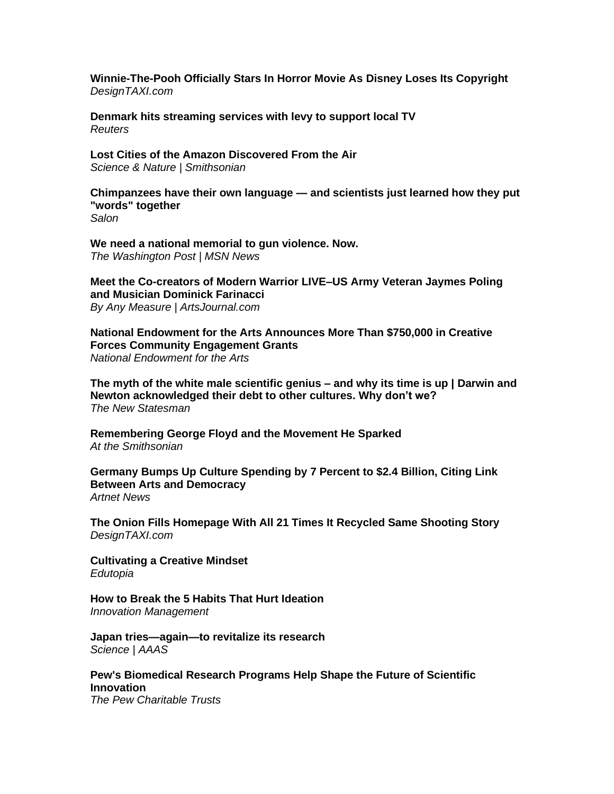**[Winnie-The-Pooh Officially Stars In Horror Movie As](https://designtaxi.com/news/418821/Winnie-The-Pooh-Officially-Stars-In-Horror-Movie-As-Disney-Loses-Its-Copyright/) Disney Loses Its Copyright** *DesignTAXI.com*

**[Denmark hits streaming services with levy to support local TV](https://www.reuters.com/business/media-telecom/denmark-hits-streaming-services-with-levy-support-local-tv-2022-05-23/)** *Reuters*

**[Lost Cities of the Amazon Discovered From the Air](https://www.smithsonianmag.com/science-nature/lost-cities-of-the-amazon-discovered-from-the-air-180980142/)** *Science & Nature | Smithsonian* 

**[Chimpanzees have their own language —](https://www.salon.com/2022/05/22/chimpanzees-have-their-own-language--and-scientists-just-learned-how-they-put-words-together/) and scientists just learned how they put ["words" together](https://www.salon.com/2022/05/22/chimpanzees-have-their-own-language--and-scientists-just-learned-how-they-put-words-together/)** *Salon*

**[We need a national memorial to gun violence. Now.](https://www.msn.com/en-us/news/us/we-need-a-national-memorial-to-gun-violence-now/ar-AAXIVA5)** *The Washington Post | MSN News*

**[Meet the Co-creators of Modern Warrior LIVE–US Army Veteran Jaymes Poling](https://www.artsjournal.com/measure/2022/05/26/meet-the-co-creators-of-modern-warrior-live-us-army-veteran-jaymes-poling-and-musician-dominick-farinacci/)  [and Musician Dominick Farinacci](https://www.artsjournal.com/measure/2022/05/26/meet-the-co-creators-of-modern-warrior-live-us-army-veteran-jaymes-poling-and-musician-dominick-farinacci/)** *By Any Measure | ArtsJournal.com*

**[National Endowment for the Arts Announces More Than \\$750,000 in Creative](https://www.arts.gov/news/press-releases/2022/national-endowment-arts-announces-more-750000-creative-forces-community-engagement-grants)  [Forces Community Engagement Grants](https://www.arts.gov/news/press-releases/2022/national-endowment-arts-announces-more-750000-creative-forces-community-engagement-grants)** *National Endowment for the Arts*

**[The myth of the white male scientific genius –](https://www.newstatesman.com/culture/books/2022/05/horizons-global-history-science-james-poskett-review) and why its time is up | Darwin and [Newton acknowledged their debt to other cultures. Why don't we?](https://www.newstatesman.com/culture/books/2022/05/horizons-global-history-science-james-poskett-review)** *The New Statesman*

**[Remembering George Floyd and the Movement He Sparked](https://www.smithsonianmag.com/smithsonian-institution/remembering-george-floyd-and-movement-he-sparked-one-year-later-180977817/)** *At the Smithsonian* 

**[Germany Bumps Up Culture Spending by 7 Percent to \\$2.4 Billion, Citing Link](https://news.artnet.com/art-world/germany-bumps-up-culture-budget-2-4-billion-2118758)  [Between Arts and Democracy](https://news.artnet.com/art-world/germany-bumps-up-culture-budget-2-4-billion-2118758)** *Artnet News*

**[The Onion Fills Homepage With All 21 Times It Recycled Same Shooting Story](https://designtaxi.com/news/418815/The-Onion-Fills-Homepage-With-All-21-Times-It-Recycled-Same-Shooting-Story/)** *DesignTAXI.com*

**[Cultivating a Creative Mindset](https://www.edutopia.org/article/cultivating-creative-mindset)** *Edutopia*

**[How to Break the 5 Habits That Hurt Ideation](https://innovationmanagement.se/2021/08/24/how-to-break-the-5-habits-that-hurt-ideation/)** *Innovation Management*

**[Japan tries—again—to revitalize its research](https://www.science.org/content/article/japan-tries-again-revitalize-its-research)** *Science | AAAS*

**[Pew's Biomedical Research Programs Help Shape the Future of Scientific](https://www.pewtrusts.org/en/research-and-analysis/articles/2022/05/25/pews-biomedical-research-programs-help-shape-the-future-of-scientific-innovation)  [Innovation](https://www.pewtrusts.org/en/research-and-analysis/articles/2022/05/25/pews-biomedical-research-programs-help-shape-the-future-of-scientific-innovation)**

*The Pew Charitable Trusts*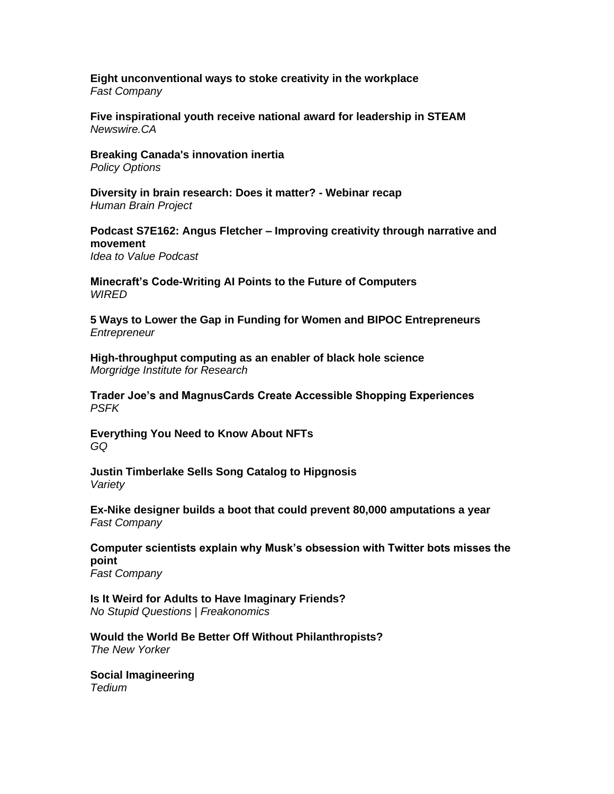#### **[Eight unconventional ways to stoke creativity in the workplace](https://www.fastcompany.com/90755107/eight-unconventional-ways-to-stoke-creativity-in-the-workplace)** *Fast Company*

**[Five inspirational youth receive national award for leadership in STEAM](https://www.newswire.ca/news-releases/five-inspirational-youth-receive-national-award-for-leadership-in-steam-889103588.html)** *Newswire.CA* 

**[Breaking Canada's innovation inertia](https://policyoptions.irpp.org/magazines/may-2022/breaking-canadas-innovation-inertia/)** *Policy Options*

**[Diversity in brain research: Does it matter? -](https://www.humanbrainproject.eu/en/follow-hbp/news/2022/05/25/diversity-brain-research-does-it-matter-webinar-recap/) Webinar recap** *Human Brain Project*

**Podcast S7E162: Angus Fletcher – [Improving creativity through narrative and](https://www.ideatovalue.com/podc/nickskillicorn/2022/05/podcast-s7e162-angus-fletcher-improving-creativity-through-narrative-and-movement/)  [movement](https://www.ideatovalue.com/podc/nickskillicorn/2022/05/podcast-s7e162-angus-fletcher-improving-creativity-through-narrative-and-movement/)** *Idea to Value Podcast*

**[Minecraft's Code-Writing AI Points to the Future of Computers](https://www.wired.com/story/minecraft-ai-code-microsoft/)** *WIRED*

**[5 Ways to Lower the Gap in Funding for Women and BIPOC Entrepreneurs](https://www.entrepreneur.com/article/425320)** *Entrepreneur*

**[High-throughput computing as an enabler of black hole science](https://morgridge.org/story/high-throughput-computing-as-an-enabler-of-black-hole-science/)** *Morgridge Institute for Research*

**[Trader Joe's and MagnusCards Create Accessible Shopping Experiences](https://www.psfk.com/2022/05/trader-joes-and-magnuscards-create-accessible-shopping-experiences.html)** *PSFK*

**[Everything You Need to Know About NFTs](https://www.gq.com/story/what-is-an-nft)** *GQ*

**[Justin Timberlake Sells Song Catalog to Hipgnosis](https://variety.com/2022/music/news/justin-timberlake-sells-song-catalog-hipgnosis-1235277907/)** *Variety*

**[Ex-Nike designer builds a boot that could prevent 80,000 amputations a year](https://www.fastcompany.com/90755550/ex-nike-designer-builds-a-boot-that-could-prevent-80000-amputations-a-year)** *Fast Company*

**[Computer scientists explain why Musk's obsession with Twitter bots misses the](https://www.fastcompany.com/90755162/computer-scientists-explain-why-elons-obsession-with-twitter-bots-misses-the-point)  [point](https://www.fastcompany.com/90755162/computer-scientists-explain-why-elons-obsession-with-twitter-bots-misses-the-point)**

*Fast Company*

**[Is It Weird for Adults to Have Imaginary Friends?](https://freakonomics.com/podcast/is-it-weird-for-adults-to-have-imaginary-friends/)** *No Stupid Questions | Freakonomics*

**[Would the World Be Better Off Without Philanthropists?](https://www.newyorker.com/magazine/2022/05/30/would-the-world-be-better-off-without-philanthropists-paul-vallely-emma-saunders-hastings)** *The New Yorker*

**[Social Imagineering](https://tedium.co/2022/05/20/disney-imagineering-word-history/)** *Tedium*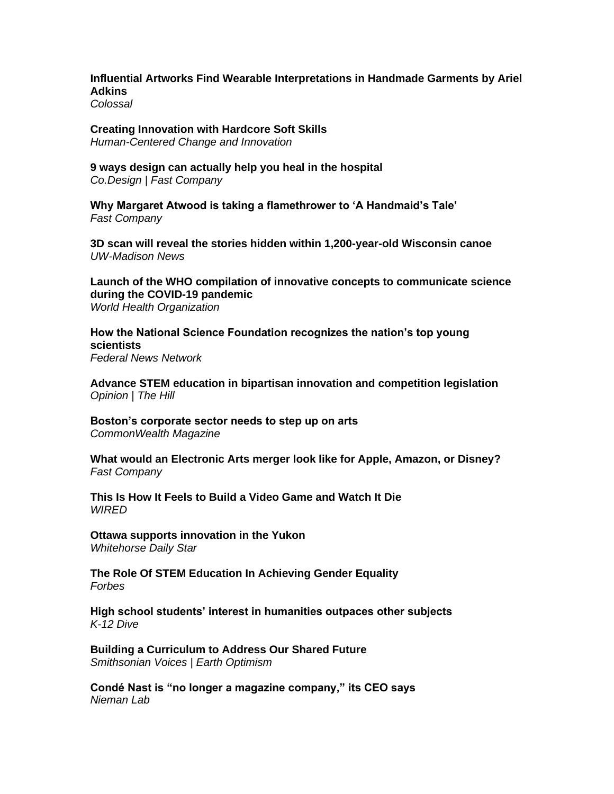**[Influential Artworks Find Wearable Interpretations in Handmade Garments by Ariel](https://www.thisiscolossal.com/2022/05/ariel-adkins-artfully-awear/)  [Adkins](https://www.thisiscolossal.com/2022/05/ariel-adkins-artfully-awear/)**

*Colossal*

**[Creating Innovation with Hardcore Soft Skills](https://bradenkelley.com/2022/05/creating-innovation-with-hardcore-soft-skills/)** *Human-Centered Change and Innovation*

**[9 ways design can actually help you heal in the hospital](https://www.fastcompany.com/90754365/9-ways-design-can-actually-help-you-heal-in-the-hospital)** *Co.Design | Fast Company*

**[Why Margaret Atwood is taking a flamethrower to 'A Handmaid's Tale'](https://www.fastcompany.com/90755237/why-margaret-atwood-is-taking-a-flamethrower-to-a-handmaids-tale)** *Fast Company*

**[3D scan will reveal the stories hidden within 1,200-year-old Wisconsin canoe](https://news.wisc.edu/3d-scan-will-reveal-the-stories-hidden-within-1200-year-old-wisconsin-canoe/)** *UW-Madison News*

**[Launch of the WHO compilation of innovative concepts to communicate science](https://www.who.int/news/item/25-05-2022-launch-of-the-who-scicom-compilation)  [during the COVID-19 pandemic](https://www.who.int/news/item/25-05-2022-launch-of-the-who-scicom-compilation)** *World Health Organization*

**[How the National Science Foundation recognizes the nation's top young](https://federalnewsnetwork.com/people/2022/05/how-the-national-science-foundation-recognizes-the-nations-top-young-scientists/)  [scientists](https://federalnewsnetwork.com/people/2022/05/how-the-national-science-foundation-recognizes-the-nations-top-young-scientists/)** *Federal News Network*

**[Advance STEM education in bipartisan innovation and competition legislation](https://thehill.com/blogs/congress-blog/3499636-advance-stem-education-in-bipartisan-innovation-and-competition-legislation/)** *Opinion | The Hill*

**[Boston's corporate sector needs to step up on arts](https://commonwealthmagazine.org/opinion/bostons-corporate-sector-needs-to-step-up-on-arts/)** *CommonWealth Magazine*

**[What would an Electronic Arts merger look like for Apple, Amazon, or Disney?](https://www.fastcompany.com/90755147/electronic-arts-merger-apple-amazon-disney-comcast)** *Fast Company*

**[This Is How It Feels to Build a Video Game and Watch It Die](https://www.wired.com/story/how-it-feels-build-video-game-watch-it-die/)** *WIRED*

**[Ottawa supports innovation in the Yukon](https://www.whitehorsestar.com/News/ottawa-supports-innovation-in-the-yukon)** *Whitehorse Daily Star*

**[The Role Of STEM Education In Achieving Gender Equality](https://www.forbes.com/sites/forbestechcouncil/2022/05/20/the-role-of-stem-education-in-achieving-gender-equality/)** *Forbes*

**[High school students' interest in humanities outpaces other subjects](https://www.k12dive.com/news/high-school-students-interest-in-humanities-outpaces-other-subjects/624016/)** *K-12 Dive*

**[Building a Curriculum to Address Our Shared Future](https://www.smithsonianmag.com/blogs/earth-optimism/2022/05/16/building-a-curriculum-to-address-our-shared-future/)** *Smithsonian Voices | Earth Optimism*

**[Condé Nast is "no longer a magazine company," its CEO says](https://www.niemanlab.org/2022/05/conde-nast-is-no-longer-a-magazine-company-its-ceo-says/)** *Nieman Lab*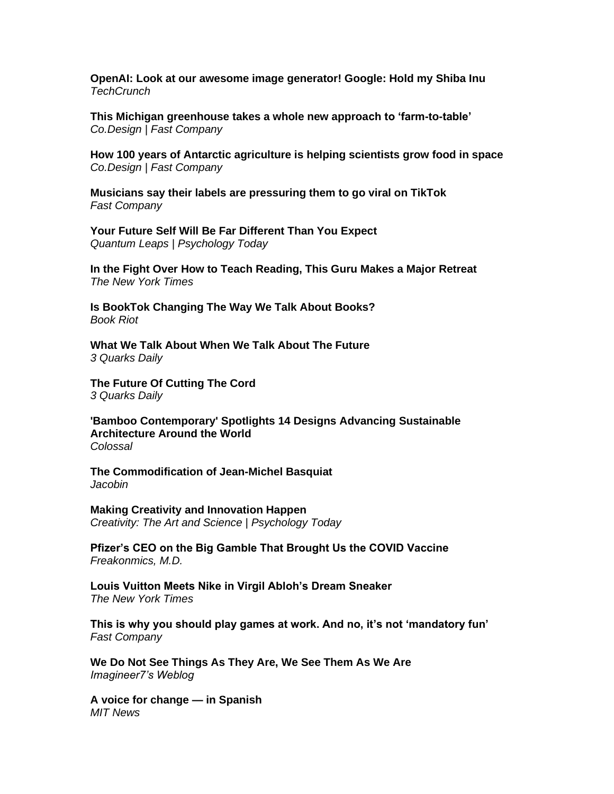**[OpenAI: Look at our awesome image generator! Google: Hold my Shiba Inu](https://techcrunch.com/2022/05/23/openai-look-at-our-awesome-image-generator-google-hold-my-shiba-inu/)** *TechCrunch*

**[This Michigan greenhouse takes a whole new approach to 'farm-to-table'](https://www.fastcompany.com/90755160/this-michigan-greenhouse-takes-a-whole-new-approach-to-farm-to-table)** *Co.Design | Fast Company*

**[How 100 years of Antarctic agriculture is helping scientists grow food in space](https://www.fastcompany.com/90754731/how-100-years-of-antarctic-agriculture-is-helping-scientists-grow-food-in-space)** *Co.Design | Fast Company*

**[Musicians say their labels are pressuring them to go viral on TikTok](https://www.fastcompany.com/90755182/musicians-say-their-labels-are-pressuring-them-to-go-viral-on-tiktok)** *Fast Company*

**[Your Future Self Will Be Far Different Than You Expect](https://www.psychologytoday.com/us/blog/quantum-leaps/202205/your-future-self-will-be-far-different-you-expect)** *Quantum Leaps | Psychology Today*

**[In the Fight Over How to Teach Reading, This Guru Makes a Major Retreat](https://www.nytimes.com/2022/05/22/us/reading-teaching-curriculum-phonics.html)** *The New York Times*

**[Is BookTok Changing The Way We Talk About Books?](https://bookriot.com/is-booktok-changing-the-way-we-talk-about-books/)** *Book Riot*

**[What We Talk About When We Talk About The Future](https://3quarksdaily.com/3quarksdaily/2022/05/what-we-talk-about-when-we-talk-about-the-future.html)** *3 Quarks Daily*

**[The Future Of Cutting The Cord](https://3quarksdaily.com/3quarksdaily/2022/05/the-future-of-cutting-the-cord.html)** *3 Quarks Daily*

**['Bamboo Contemporary' Spotlights 14 Designs Advancing Sustainable](https://www.thisiscolossal.com/2022/05/bamboo-contemporary-william-richards/)  [Architecture Around the World](https://www.thisiscolossal.com/2022/05/bamboo-contemporary-william-richards/)** *Colossal*

**[The Commodification of Jean-Michel Basquiat](https://www.jacobinmag.com/2022/05/jean-michel-basquiat-commodification-art-inequality-racism-branding)** *Jacobin*

**[Making Creativity and Innovation Happen](https://cdn.psychologytoday.com/us/blog/creativity-the-art-and-science/202205/making-creativity-and-innovation-happen)** *Creativity: The Art and Science | Psychology Today*

**[Pfizer's CEO on the Big Gamble That Brought Us the COVID Vaccine](https://freakonomics.com/podcast/pfizers-ceo-on-the-big-gamble-that-brought-us-the-covid-vaccine/)** *Freakonmics, M.D.*

**[Louis Vuitton Meets Nike in Virgil Abloh's Dream Sneaker](https://www.nytimes.com/2022/05/20/style/louis-vuitton-nike-virgil-abloh.html)** *The New York Times*

**[This is why you should play games at work. And no, it's not 'mandatory fun'](https://www.fastcompany.com/90754547/this-is-why-you-should-play-games-at-work-and-no-its-not-mandatory-fun)** *Fast Company*

**[We Do Not See Things As They Are, We See Them As We Are](https://imagine-er7.com/2022/05/23/we-do-not-see-things-as-they-are-we-see-them-as-we-are-2/)** *Imagineer7's Weblog*

**[A voice for change —](https://news.mit.edu/2022/voice-for-change-jessica-chomik-morales-0524) in Spanish** *MIT News*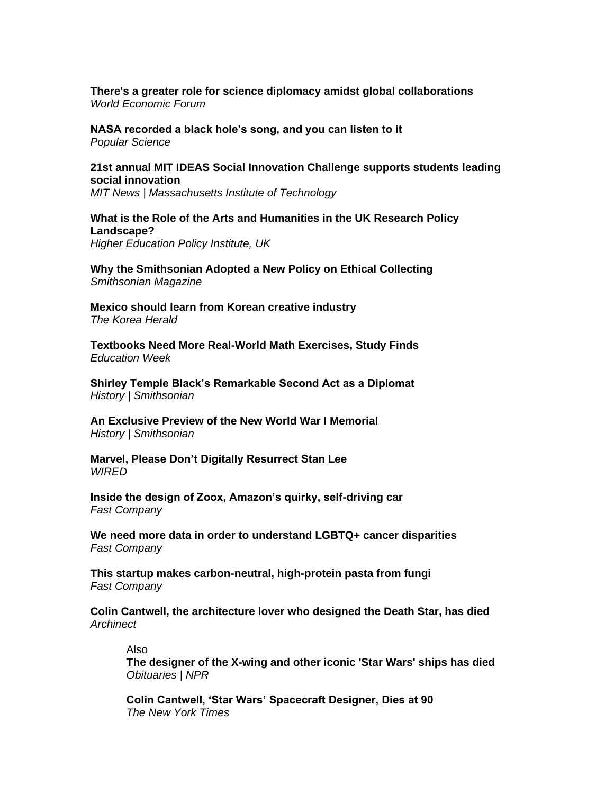**[There's a greater role for science diplomacy amidst global collaborations](https://www.weforum.org/agenda/2022/05/science-diplomacy-society-policy-making/)** *World Economic Forum* 

**[NASA recorded a black hole's song, and you can listen to it](https://www.popsci.com/space/black-hole-sound-space-sonification/)** *Popular Science* 

## **[21st annual MIT IDEAS Social Innovation Challenge supports students leading](https://news.mit.edu/2022/mit-ideas-social-innovation-challenge-0523)  [social innovation](https://news.mit.edu/2022/mit-ideas-social-innovation-challenge-0523)**

*MIT News | Massachusetts Institute of Technology*

## **[What is the Role of the Arts and Humanities in the UK Research Policy](https://www.hepi.ac.uk/2022/05/24/what-is-the-role-of-the-arts-and-humanities-in-the-uk-research-policy-landscape/)  [Landscape?](https://www.hepi.ac.uk/2022/05/24/what-is-the-role-of-the-arts-and-humanities-in-the-uk-research-policy-landscape/)**

*Higher Education Policy Institute, UK*

**[Why the Smithsonian Adopted a New Policy on Ethical Collecting](https://www.smithsonianmag.com/smithsonian-institution/smithsonian-adopted-new-policy-ethical-collecting-180980047/)** *Smithsonian Magazine*

**[Mexico should learn from Korean creative industry](http://m.koreaherald.com/amp/view.php?ud=20220524000495)** *The Korea Herald*

**[Textbooks Need More Real-World Math Exercises, Study Finds](https://www.edweek.org/teaching-learning/textbooks-need-more-real-world-math-exercises-study-finds/2022/05)** *Education Week*

**[Shirley Temple Black's Remarkable Second Act as a Diplomat](https://www.smithsonianmag.com/history/shirley-temple-black-second-act-diplomat-180980038/)** *History | Smithsonian* 

**[An Exclusive Preview of the New World War I Memorial](https://www.smithsonianmag.com/history/exclusive-look-new-world-war-i-memorial-180980032/)** *History | Smithsonian* 

**[Marvel, Please Don't Digitally Resurrect Stan Lee](https://www.wired.com/story/let-stan-lee-rest/)** *WIRED*

**[Inside the design of Zoox, Amazon's quirky, self-driving car](https://www.fastcompany.com/90754276/inside-the-design-of-zoox-amazons-quirky-self-driving-car)** *Fast Company*

**[We need more data in order to understand LGBTQ+ cancer disparities](https://www.fastcompany.com/90754068/lgbtq-cancer-disparities-data-needed)** *Fast Company*

**[This startup makes carbon-neutral, high-protein pasta from fungi](https://www.fastcompany.com/90754305/this-startup-makes-carbon-neutral-high-protein-pasta-from-fungus)** *Fast Company*

**[Colin Cantwell, the architecture lover who designed the Death Star, has died](https://archinect.com/news/article/150310855/colin-cantwell-the-architecture-lover-who-designed-the-death-star-has-died)** *Archinect*

Also

**[The designer of the X-wing and other iconic 'Star Wars' ships has died](https://www.npr.org/2022/05/23/1100829872/designer-x-wing-star-wars-ships-died)** *Obituaries | NPR*

**[Colin Cantwell, 'Star Wars' Spacecraft Designer, Dies at 90](https://www.nytimes.com/2022/05/24/movies/colin-cantwell-dead.html)** *The New York Times*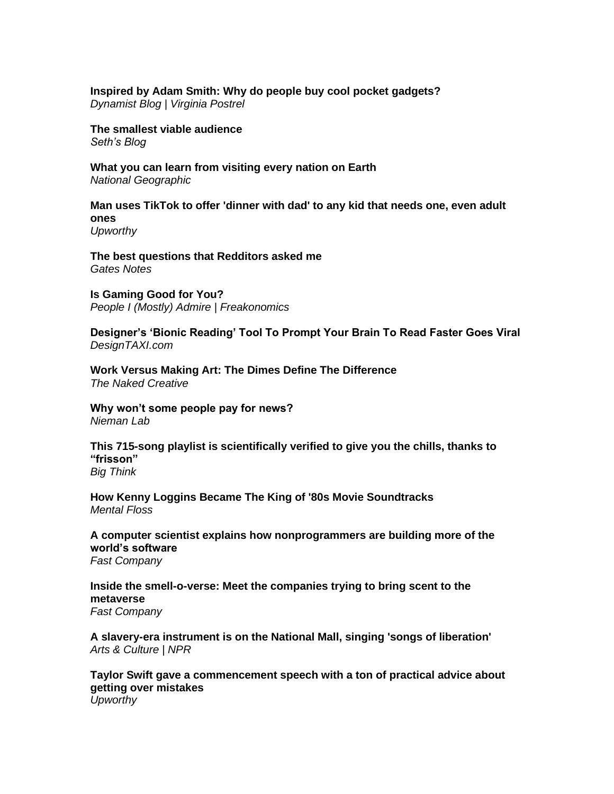## **[Inspired by Adam Smith: Why do people buy cool pocket gadgets?](https://vpostrel.com/blog/inspired-by-adam-smith-why-do-people-buy-cool-pocket-gadgets)**

*Dynamist Blog | Virginia Postrel*

**[The smallest viable audience](https://seths.blog/2022/05/the-smallest-viable-audience/)** *Seth's Blog*

**[What you can learn from visiting every nation on Earth](https://www.nationalgeographic.com/travel/article/what-you-can-learn-from-visiting-every-nation-on-earth)** *National Geographic*

**[Man uses TikTok to offer 'dinner with dad' to any kid that needs one, even adult](https://www.upworthy.com/dinner-with-dad-tiktok)  [ones](https://www.upworthy.com/dinner-with-dad-tiktok)**

*Upworthy*

**[The best questions that Redditors asked me](https://www.gatesnotes.com/About-Bill-Gates/2022-Reddit-AMA)** *Gates Notes*

**[Is Gaming Good for You?](https://freakonomics.com/podcast/is-gaming-good-for-you/)** *People I (Mostly) Admire | Freakonomics*

**[Designer's 'Bionic Reading' Tool To Prompt Your Brain To Read Faster Goes Viral](https://designtaxi.com/news/418760/Designer-s-Bionic-Reading-Tool-To-Prompt-Your-Brain-To-Read-Faster-Goes-Viral/)** *DesignTAXI.com*

**[Work Versus Making Art: The Dimes Define The Difference](https://cdn.psychologytoday.com/us/blog/the-naked-creative/202205/work-versus-making-art-the-dimes-define-the-difference)** *The Naked Creative*

**[Why won't some people pay for news?](https://www.niemanlab.org/2022/05/why-wont-some-people-pay-for-news/)** *Nieman Lab*

**[This 715-song playlist is scientifically verified to give you the chills, thanks to](https://bigthink.com/neuropsych/frisson-song-playlist/)  ["frisson"](https://bigthink.com/neuropsych/frisson-song-playlist/)** *Big Think*

**[How Kenny Loggins Became The King of '80s Movie Soundtracks](https://www.mentalfloss.com/posts/kenny-loggins-80s-movie-soundtracks-king)** *Mental Floss* 

**[A computer scientist explains how nonprogrammers are building more of the](https://www.fastcompany.com/90753551/a-computer-scientist-explains-how-nonprogrammers-are-building-more-of-the-worlds-software)  [world's software](https://www.fastcompany.com/90753551/a-computer-scientist-explains-how-nonprogrammers-are-building-more-of-the-worlds-software)** *Fast Company*

**[Inside the smell-o-verse: Meet the companies trying to bring scent to the](https://www.fastcompany.com/90744828/inside-the-smell-a-verse-meet-the-companies-trying-to-bring-smell-to-the-metaverse)  [metaverse](https://www.fastcompany.com/90744828/inside-the-smell-a-verse-meet-the-companies-trying-to-bring-smell-to-the-metaverse)**

*Fast Company*

**[A slavery-era instrument is on the National Mall, singing 'songs of liberation'](https://www.npr.org/2022/05/19/1099098205/a-slavery-era-instrument-is-on-the-national-mall-singing-songs-of-liberation)** *Arts & Culture | NPR*

**[Taylor Swift gave a commencement speech with a ton of practical advice about](https://www.upworthy.com/taylor-swift-gave-a-commencement-speech-with-a-ton-of-practical-advice-about-getting-over-mistakes)  [getting over mistakes](https://www.upworthy.com/taylor-swift-gave-a-commencement-speech-with-a-ton-of-practical-advice-about-getting-over-mistakes)** *Upworthy*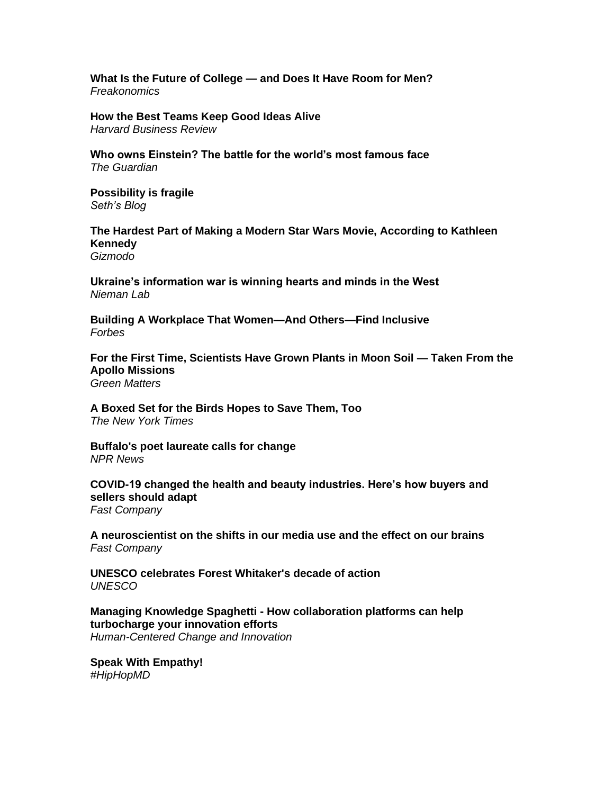**What Is the Future of College — [and Does It Have Room for Men?](https://freakonomics.com/podcast/what-is-the-future-of-college-and-does-it-have-room-for-men/)** *Freakonomics*

**[How the Best Teams Keep Good Ideas Alive](https://hbr.org/2022/05/how-the-best-teams-keep-good-ideas-alive)** *Harvard Business Review*

**[Who owns Einstein? The battle for the world's most famous](https://www.theguardian.com/media/2022/may/17/who-owns-einstein-the-battle-for-the-worlds-most-famous-face) face** *The Guardian*

**[Possibility is fragile](https://seths.blog/2022/05/possibility-is-fragile/)** *Seth's Blog*

**[The Hardest Part of Making a Modern Star Wars Movie, According to Kathleen](https://gizmodo.com/new-star-wars-films-kathleen-kennedy-rey-skywalker-rian-1848944029)  [Kennedy](https://gizmodo.com/new-star-wars-films-kathleen-kennedy-rey-skywalker-rian-1848944029)** *Gizmodo*

**[Ukraine's information war is winning hearts and minds in the West](https://www.niemanlab.org/2022/05/ukraines-information-war-is-winning-hearts-and-minds-in-the-west/)** *Nieman Lab*

**[Building A Workplace That Women—And Others—Find Inclusive](https://www.forbes.com/sites/davidmichels/2022/05/18/building-a-workplace-that-women-and-others-find-inclusive/)** *Forbes*

**[For the First Time, Scientists Have Grown Plants in Moon Soil —](https://www.greenmatters.com/p/plants-grow-in-moon-soil) Taken From the [Apollo Missions](https://www.greenmatters.com/p/plants-grow-in-moon-soil)** *Green Matters*

**[A Boxed Set for the Birds Hopes to Save Them, Too](https://www.nytimes.com/2022/05/17/arts/music/for-the-birds-birdsong.html)** *The New York Times*

**[Buffalo's poet laureate calls for change](https://www.wpr.org/buffalos-poet-laureate-calls-change)** *NPR News*

**[COVID-19 changed the health and beauty industries. Here's how buyers and](https://www.fastcompany.com/90751439/covid-19-changed-the-health-and-beauty-industries-heres-how-buyers-and-sellers-should-adapt)  [sellers should adapt](https://www.fastcompany.com/90751439/covid-19-changed-the-health-and-beauty-industries-heres-how-buyers-and-sellers-should-adapt)** *Fast Company*

**[A neuroscientist on the shifts in our media use and the effect on our brains](https://www.fastcompany.com/90752667/a-neuroscientist-on-the-shifts-in-our-media-use-and-the-ireffect-on-our-brains)** *Fast Company*

**[UNESCO celebrates Forest Whitaker's decade of action](https://www.unesco.org/en/articles/unesco-celebrates-forest-whitakers-decade-action)** *UNESCO*

**Managing Knowledge Spaghetti - [How collaboration platforms can help](https://bradenkelley.com/2022/05/managing-knowledge-spaghetti/)  [turbocharge your innovation efforts](https://bradenkelley.com/2022/05/managing-knowledge-spaghetti/)** *Human-Centered Change and Innovation*

**[Speak With Empathy!](https://www.hiphopscienceshow.com/post/speak-with-empathy)** *#HipHopMD*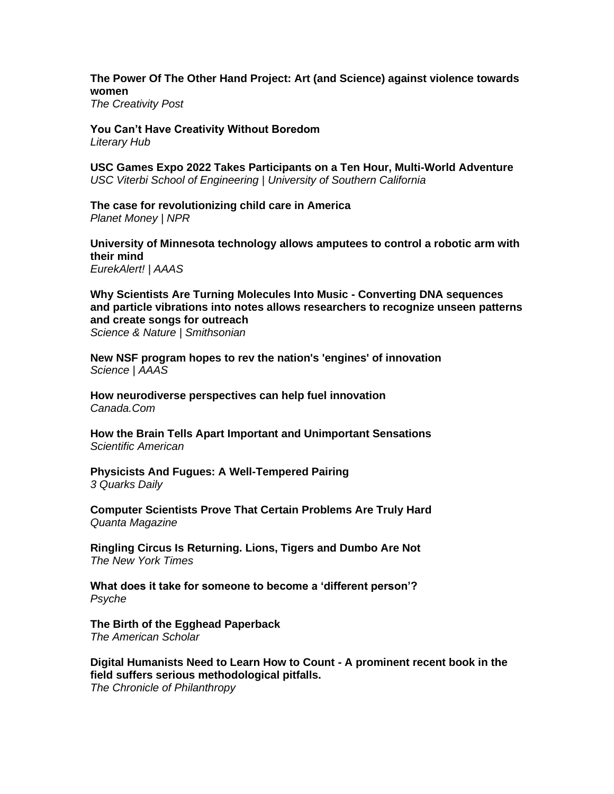## **[The Power Of The Other Hand Project: Art \(and Science\) against violence towards](https://www.creativitypost.com/arts/the-power-of-the-other-hand-project-art-and-science-against-violence-towards-women)  [women](https://www.creativitypost.com/arts/the-power-of-the-other-hand-project-art-and-science-against-violence-towards-women)**

*The Creativity Post*

**[You Can't Have Creativity Without Boredom](https://lithub.com/you-cant-have-creativity-without-boredom/)** *Literary Hub*

**[USC Games Expo 2022 Takes Participants on a Ten Hour, Multi-World Adventure](https://viterbischool.usc.edu/news/2022/05/usc-games-expo-2022-takes-participants-on-a-ten-hour-multi-world-adventure/)** *USC Viterbi School of Engineering | University of Southern California*

**[The case for revolutionizing child care in America](https://www.npr.org/sections/money/2022/05/17/1098524454/the-case-for-revolutionizing-child-care-in-america)** *Planet Money | NPR*

**[University of Minnesota technology allows amputees to control a robotic arm with](https://www.eurekalert.org/news-releases/952896)  [their mind](https://www.eurekalert.org/news-releases/952896)** *EurekAlert! | AAAS*

**[Why Scientists Are Turning Molecules Into Music -](https://www.smithsonianmag.com/science-nature/why-scientists-are-turning-molecules-into-music-180980022/) Converting DNA sequences [and particle vibrations into notes allows researchers to recognize unseen patterns](https://www.smithsonianmag.com/science-nature/why-scientists-are-turning-molecules-into-music-180980022/)  [and create songs for outreach](https://www.smithsonianmag.com/science-nature/why-scientists-are-turning-molecules-into-music-180980022/)**

*Science & Nature | Smithsonian*

**[New NSF program hopes to rev the nation's](https://www.science.org/content/article/new-nsf-program-hopes-rev-nation-s-engines-innovation) 'engines' of innovation** *Science | AAAS*

**[How neurodiverse perspectives can help fuel innovation](https://o.canada.com/sponsored/news-sponsored/how-neurodiverse-perspectives-can-help-fuel-innovation)** *Canada.Com*

**[How the Brain Tells Apart Important and Unimportant Sensations](https://www.scientificamerican.com/article/how-the-brain-tells-apart-important-and-unimportant-sensations/)** *Scientific American* 

**[Physicists And Fugues: A Well-Tempered Pairing](https://3quarksdaily.com/3quarksdaily/2022/05/physicists-and-fugues-a-well-tempered-pairing.html)** *3 Quarks Daily*

**[Computer Scientists Prove That Certain Problems Are Truly Hard](https://www.quantamagazine.org/computer-scientists-prove-certain-problems-are-truly-hard-20220511/)** *Quanta Magazine*

**[Ringling Circus Is Returning. Lions, Tigers and Dumbo Are Not](https://www.nytimes.com/2022/05/18/arts/ringling-circus-returning.html)** *The New York Times*

**[What does it take for someone to become a 'different person'?](https://psyche.co/ideas/what-does-it-take-for-someone-to-become-a-different-person)** *Psyche*

**[The Birth of the Egghead Paperback](https://theamericanscholar.org/the-birth-of-the-egghead-paperback/)** *The American Scholar*

**[Digital Humanists Need to Learn How to Count -](https://www.chronicle.com/article/digital-humanists-need-to-learn-how-to-count) A prominent recent book in the [field suffers serious methodological pitfalls.](https://www.chronicle.com/article/digital-humanists-need-to-learn-how-to-count)** *The Chronicle of Philanthropy*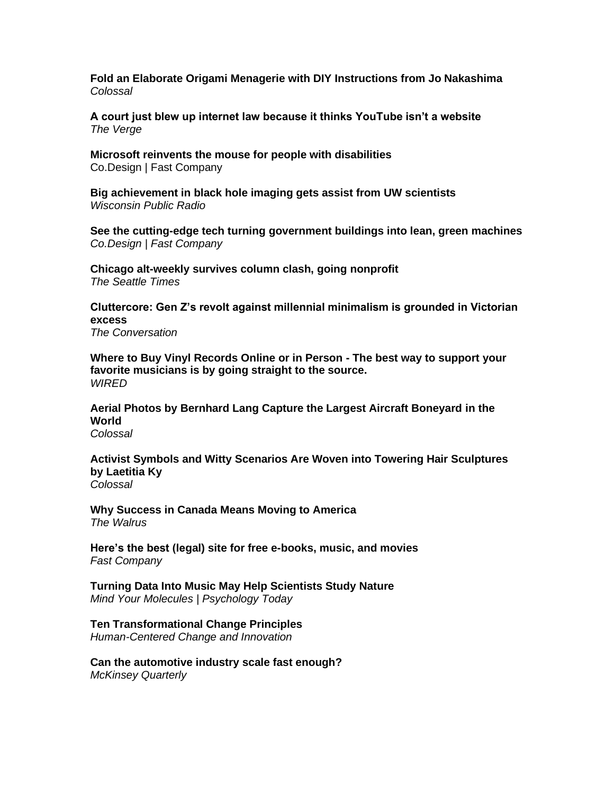**[Fold an Elaborate Origami Menagerie with DIY Instructions from Jo Nakashima](https://www.thisiscolossal.com/2022/05/jo-nakashima-origami-animals/)** *Colossal*

**[A court just blew up internet law because it thinks YouTube isn't a website](https://www.theverge.com/2022/5/13/23068423/fifth-circuit-texas-social-media-law-ruling-first-amendment-section-230)** *The Verge*

**[Microsoft reinvents the mouse for people with disabilities](https://www.fastcompany.com/90752585/microsoft-reinvents-the-mouse-for-people-with-disabilities)** Co.Design | Fast Company

**[Big achievement in black hole imaging gets assist from UW scientists](https://www.wpr.org/big-achievement-black-hole-imaging-gets-assist-uw-scientists)** *Wisconsin Public Radio*

**[See the cutting-edge tech turning government buildings into lean, green machines](https://www.fastcompany.com/90752628/see-the-cutting-edge-tech-turning-government-buildings-into-lean-green-machines)** *Co.Design | Fast Company*

**[Chicago alt-weekly survives column clash, going nonprofit](https://www.seattletimes.com/entertainment/chicago-alt-weekly-survives-column-clash-going-nonprofit/)** *The Seattle Times*

**[Cluttercore: Gen Z's revolt against millennial minimalism is grounded in Victorian](https://theconversation.com/cluttercore-gen-zs-revolt-against-millennial-minimalism-is-grounded-in-victorian-excess-182706)  [excess](https://theconversation.com/cluttercore-gen-zs-revolt-against-millennial-minimalism-is-grounded-in-victorian-excess-182706)** *The Conversation*

**[Where to Buy Vinyl Records Online or in Person -](https://www.wired.com/story/where-to-buy-vinyl-records/) The best way to support your [favorite musicians is by going straight to the source.](https://www.wired.com/story/where-to-buy-vinyl-records/)** *WIRED*

**[Aerial Photos by Bernhard Lang Capture the Largest Aircraft Boneyard in the](https://www.thisiscolossal.com/)  [World](https://www.thisiscolossal.com/)** *Colossal*

**[Activist Symbols and Witty Scenarios Are Woven into Towering Hair Sculptures](https://www.thisiscolossal.com/2022/05/laetitia-ky-hair-sculpture/)  [by Laetitia Ky](https://www.thisiscolossal.com/2022/05/laetitia-ky-hair-sculpture/)**

*Colossal*

**[Why Success in Canada Means Moving to America](https://thewalrus.ca/why-success-in-canada-means-moving-to-america/)** *The Walrus*

**[Here's the best \(legal\) site for free e-books, music, and movies](https://www.fastcompany.com/90751722/hoopla-library-free-legal-e-books-music-movies)** *Fast Company*

**[Turning Data Into Music May Help Scientists Study Nature](https://cdn.psychologytoday.com/us/blog/mind-your-molecules/202205/turning-data-music-may-help-scientists-study-nature)** *Mind Your Molecules | Psychology Today*

**[Ten Transformational Change Principles](https://bradenkelley.com/2022/05/ten-transformational-change-principles/)**

*Human-Centered Change and Innovation*

**[Can the automotive industry scale fast enough?](https://www.mckinsey.com/industries/automotive-and-assembly/our-insights/can-the-automotive-industry-scale-fast-enough)** *McKinsey Quarterly*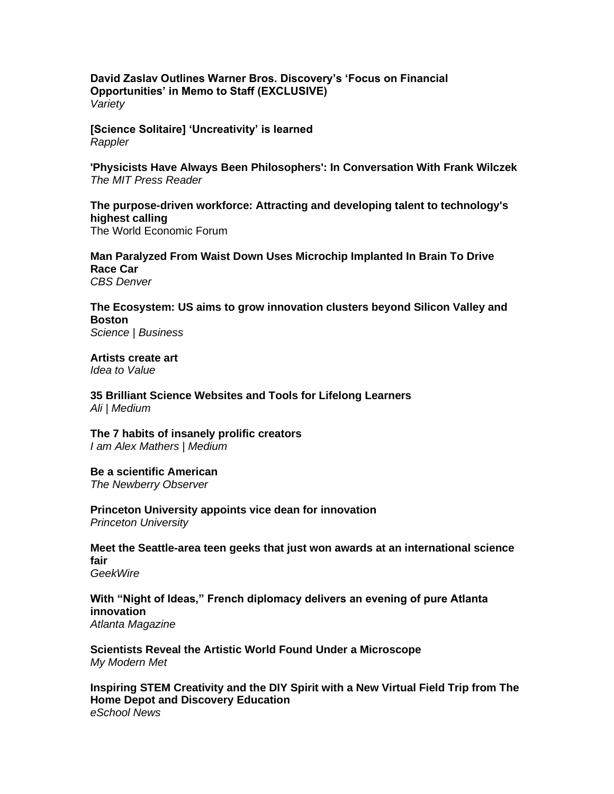**[David Zaslav Outlines Warner Bros. Discovery's 'Focus on Financial](https://variety.com/2022/tv/news/david-zaslav-warner-bros-discovery-financial-memo-1235268211/)  [Opportunities' in Memo to Staff \(EXCLUSIVE\)](https://variety.com/2022/tv/news/david-zaslav-warner-bros-discovery-financial-memo-1235268211/)** *Variety*

**[\[Science Solitaire\] 'Uncreativity' is learned](https://www.rappler.com/voices/thought-leaders/science-solitaire-uncreativity-is-learned/)** *Rappler*

**['Physicists Have Always Been Philosophers': In Conversation With Frank Wilczek](https://thereader.mitpress.mit.edu/physicists-have-always-been-philosophers-in-conversation-with-frank-wilczek/)** *The MIT Press Reader*

**[The purpose-driven workforce: Attracting and developing talent to technology's](https://www.weforum.org/agenda/2022/05/attracting-and-developing-talent-to-techs-highest-calling/)  [highest calling](https://www.weforum.org/agenda/2022/05/attracting-and-developing-talent-to-techs-highest-calling/)** The World Economic Forum

**[Man Paralyzed From Waist Down Uses Microchip Implanted In Brain To Drive](https://denver.cbslocal.com/2022/05/22/man-paralyzed-waist-down-drives-race-car-implanted-microchip/)  [Race Car](https://denver.cbslocal.com/2022/05/22/man-paralyzed-waist-down-drives-race-car-implanted-microchip/)** *CBS Denver*

# **[The Ecosystem: US aims to grow innovation clusters beyond Silicon Valley and](https://sciencebusiness.net/news/ecosystem-us-aims-grow-innovation-clusters-beyond-silicon-valley-and-boston)  [Boston](https://sciencebusiness.net/news/ecosystem-us-aims-grow-innovation-clusters-beyond-silicon-valley-and-boston)**

*Science | Business*

**[Artists create art](https://www.ideatovalue.com/insp/nickskillicorn/2022/05/artistscreateart/)** *Idea to Value*

**[35 Brilliant Science Websites and Tools for Lifelong Learners](https://ali.medium.com/35-brilliant-science-websites-and-tools-for-lifelong-learners-96139defa87d)** *Ali | Medium*

**[The 7 habits of insanely prolific creators](https://iamalexmathers.medium.com/the-7-habits-of-insanely-prolific-creators-2a0e9eff06d4)** *I am Alex Mathers | Medium*

**[Be a scientific American](https://www.newberryobserver.com/opinion/columns/38041/be-a-scientific-american)** *The Newberry Observer*

**[Princeton University appoints vice dean for innovation](https://centraljersey.com/2022/05/21/princeton-university-appoints-craig-arnold-as-vice-dean-for-innovation/)** *Princeton University*

**[Meet the Seattle-area teen geeks that just won awards at an international science](https://www.geekwire.com/2022/meet-the-seattle-area-teen-geeks-that-just-won-awards-at-an-international-science-fair/)  [fair](https://www.geekwire.com/2022/meet-the-seattle-area-teen-geeks-that-just-won-awards-at-an-international-science-fair/)** *GeekWire*

**[With "Night of Ideas," French diplomacy delivers an evening of pure Atlanta](https://www.atlantamagazine.com/news-culture-articles/with-night-of-ideas-french-diplomacy-delivers-an-evening-of-pure-atlanta-innovation/)  [innovation](https://www.atlantamagazine.com/news-culture-articles/with-night-of-ideas-french-diplomacy-delivers-an-evening-of-pure-atlanta-innovation/)** *Atlanta Magazine*

**[Scientists Reveal the Artistic World Found Under a Microscope](https://mymodernmet.com/olympus-image-of-the-year-2021/)** *My Modern Met*

**[Inspiring STEM Creativity and the DIY Spirit with a New Virtual Field Trip from The](https://www.eschoolnews.com/2022/05/20/inspiring-stem-creativity-and-the-diy-spirit-with-a-new-virtual-field-trip-from-the-home-depot-and-discovery-education/)  [Home Depot and Discovery Education](https://www.eschoolnews.com/2022/05/20/inspiring-stem-creativity-and-the-diy-spirit-with-a-new-virtual-field-trip-from-the-home-depot-and-discovery-education/)** *eSchool News*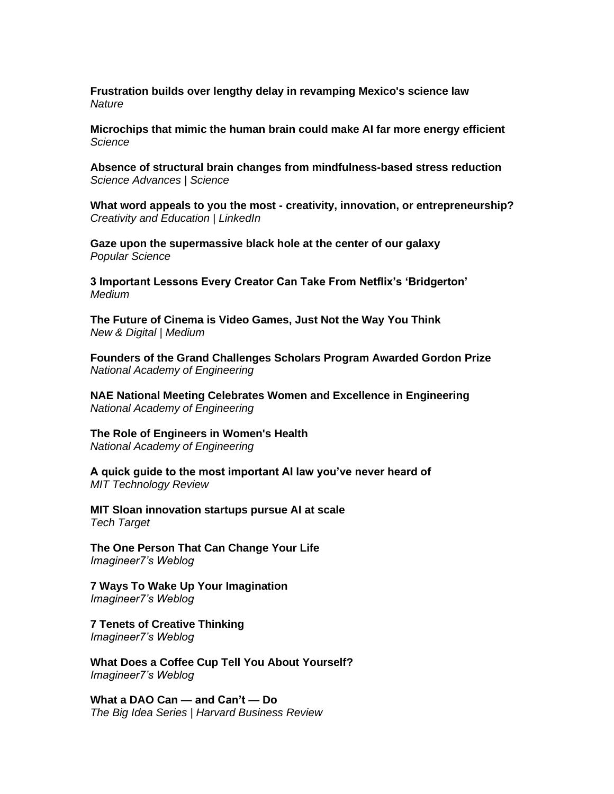**[Frustration builds over lengthy delay in revamping Mexico's science law](https://www.nature.com/articles/d41586-022-01408-5)** *Nature*

**[Microchips that mimic the human brain could make AI far more energy efficient](https://www.science.org/content/article/microchips-mimic-human-brain-could-make-ai-far-more-energy-efficient)** *Science* 

**[Absence of structural brain changes from mindfulness-based stress reduction](https://www.science.org/doi/10.1126/sciadv.abk3316)** *Science Advances | Science* 

**What word appeals to you the most - [creativity, innovation, or entrepreneurship?](https://www.linkedin.com/posts/cyndi-burnett-ed-d-7990014_creativity-innovation-entrpreneurship-activity-6932290004824064002-s67y)** *Creativity and Education | LinkedIn*

**[Gaze upon the supermassive black hole at the center of our galaxy](https://www.popsci.com/science/black-hole-milky-way-center/)** *Popular Science*

**[3 Important Lessons Every Creator Can Take From Netflix's 'Bridgerton'](https://medium.com/swlh/3-important-lessons-every-creator-can-take-from-netflixs-bridgerton-192932e97be7)** *Medium* 

**[The Future of Cinema is Video Games, Just Not the Way You Think](https://newanddigital.medium.com/the-future-of-cinema-is-video-games-just-not-the-way-you-think-b6a664099b76)** *New & Digital | Medium*

**[Founders of the Grand Challenges Scholars Program Awarded Gordon Prize](https://www.nae.edu/275880/Founders-of-the-Grand-Challenges-Scholars-Program-Awarded-Gordon-Prize)** *National Academy of Engineering*

**[NAE National Meeting Celebrates Women and Excellence in Engineering](https://www.nae.edu/275934/NAE-National-Meeting-Celebrates-Women-and-Excellence-in-Engineering)** *National Academy of Engineering*

**[The Role of Engineers in Women's Health](https://www.nae.edu/271946/The-Role-of-Engineers-in-Womens-Health)** *National Academy of Engineering*

**[A quick guide to the most important AI law you've never heard of](https://www.technologyreview.com/2022/05/13/1052223/guide-ai-act-europe/)** *MIT Technology Review*

**[MIT Sloan innovation startups pursue AI at scale](https://www.techtarget.com/searchcio/news/252518135/MIT-Sloan-innovation-startups-pursue-AI-at-scale)** *Tech Target*

**[The One Person That Can Change Your Life](https://imagine-er7.com/2022/05/16/the-one-person-that-can-change-your-life/)** *Imagineer7's Weblog*

**[7 Ways To Wake Up Your Imagination](https://imagine-er7.com/2022/05/14/7-ways-to-wake-up-your-imagination/)** *Imagineer7's Weblog*

**[7 Tenets of Creative Thinking](https://imagine-er7.com/2022/05/14/7-tenets-of-creative-thinking/)** *Imagineer7's Weblog*

**[What Does a Coffee Cup Tell You About Yourself?](https://imagine-er7.com/2022/05/13/what-does-a-coffee-cup-tell-you-about-yourself-2/)** *Imagineer7's Weblog*

**[What a DAO Can —](https://hbr.org/2022/05/what-a-dao-can-and-cant-do) and Can't — Do** *The Big Idea Series | Harvard Business Review*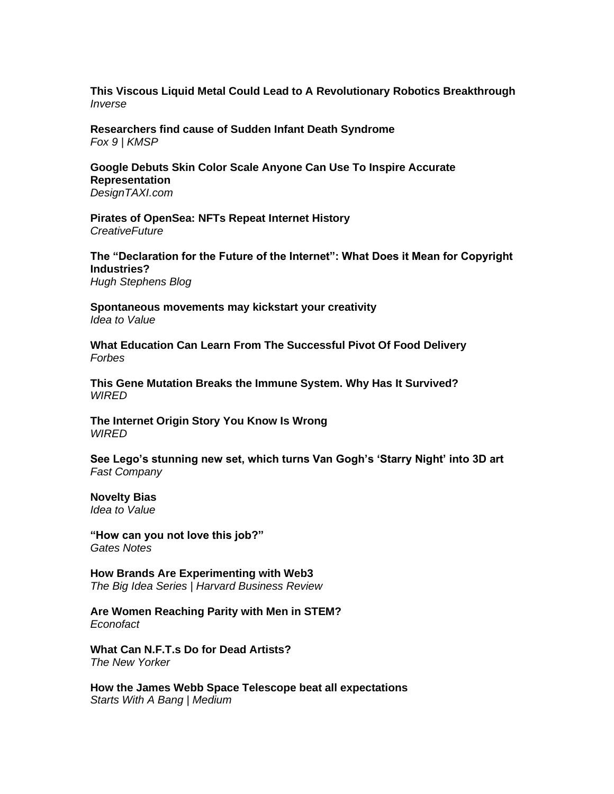**[This Viscous Liquid Metal Could Lead to A Revolutionary Robotics Breakthrough](https://www.inverse.com/science/gallium-liquid-metal-robots)** *Inverse*

**[Researchers find cause of Sudden Infant Death Syndrome](https://www.fox9.com/news/researchers-find-cause-of-sudden-infant-death-syndrome)** *Fox 9 | KMSP*

**[Google Debuts Skin Color Scale Anyone Can Use To Inspire Accurate](https://designtaxi.com/news/418684/Google-Debuts-Skin-Color-Scale-Anyone-Can-Use-To-Inspire-Accurate-Representation/)  [Representation](https://designtaxi.com/news/418684/Google-Debuts-Skin-Color-Scale-Anyone-Can-Use-To-Inspire-Accurate-Representation/)** *DesignTAXI.com*

**[Pirates of OpenSea: NFTs Repeat Internet History](https://www.creativefuture.org/pirates-of-opensea-nfts-repeat-internet-history/)**

*CreativeFuture*

**[The "Declaration for the Future of the Internet": What Does it Mean for Copyright](https://hughstephensblog.net/2022/05/08/the-declaration-for-the-future-of-the-internet-what-does-it-mean-for-copyright-industries/)  [Industries?](https://hughstephensblog.net/2022/05/08/the-declaration-for-the-future-of-the-internet-what-does-it-mean-for-copyright-industries/)**

*Hugh Stephens Blog*

**[Spontaneous movements may kickstart your creativity](https://www.ideatovalue.com/crea/nickskillicorn/2022/05/spontaneous-movements-may-kickstart-your-creativity/)** *Idea to Value*

**[What Education Can Learn From The Successful Pivot Of Food Delivery](https://www.forbes.com/sites/forbestechcouncil/2022/05/12/what-education-can-learn-from-the-successful-pivot-of-food-delivery/)** *Forbes* 

**[This Gene Mutation Breaks the Immune System. Why Has It Survived?](https://www.wired.com/story/genetic-mutation-breaks-immune-system/)** *WIRED*

**[The Internet Origin Story You Know Is Wrong](https://www.wired.com/story/internet-origin-story-bbs/)** *WIRED*

**[See Lego's stunning new set, which turns Van Gogh's 'Starry Night' into 3D art](https://www.fastcompany.com/90752591/see-legos-stunning-new-set-which-turns-van-goghs-starry-night-into-3d-art)** *Fast Company*

**[Novelty Bias](https://www.ideatovalue.com/curi/nickskillicorn/2022/05/novelty-bias/)** *Idea to Value*

**["How can you not love this job?"](https://www.gatesnotes.com/Health/Paul-Farmer-Dedication)** *Gates Notes*

**[How Brands Are Experimenting with Web3](https://hbr.org/2022/05/how-brands-are-experimenting-with-web3)** *The Big Idea Series | Harvard Business Review*

**[Are Women Reaching Parity with Men in STEM?](https://econofact.org/are-women-reaching-parity-with-men-in-stem)** *Econofact*

**[What Can N.F.T.s Do for Dead Artists?](https://www.newyorker.com/culture/infinite-scroll/what-can-nfts-do-for-dead-artists)** *The New Yorker*

**[How the James Webb Space Telescope beat all expectations](https://medium.com/starts-with-a-bang/how-the-james-webb-space-telescope-beat-all-expectations-d634af4fc961)** *Starts With A Bang | Medium*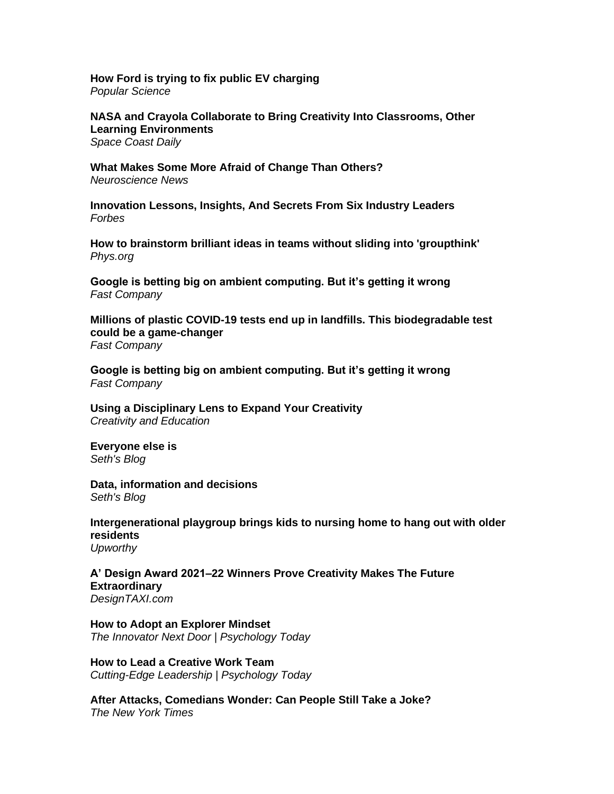**[How Ford is trying to fix public EV charging](https://www.popsci.com/technology/how-ford-is-trying-to-fix-public-ev-charging/)** *Popular Science*

**[NASA and Crayola Collaborate to Bring Creativity Into Classrooms, Other](https://spacecoastdaily.com/2022/05/nasa-and-crayola-collaborate-to-bring-creativity-into-classrooms-other-learning-environments/)  [Learning Environments](https://spacecoastdaily.com/2022/05/nasa-and-crayola-collaborate-to-bring-creativity-into-classrooms-other-learning-environments/)** *Space Coast Daily*

**[What Makes Some More Afraid of Change Than Others?](https://neurosciencenews.com/gene-expression-fear-change-20587/)** *Neuroscience News*

**[Innovation Lessons, Insights, And Secrets From Six Industry Leaders](https://www.forbes.com/sites/rhettpower/2022/05/15/innovation-lessons-insights-and-secrets-from-six-industry-leaders/)** *Forbes*

**[How to brainstorm brilliant ideas in teams without sliding into 'groupthink'](https://phys.org/news/2022-05-brainstorm-brilliant-ideas-teams-groupthink.html)** *Phys.org*

**[Google is betting big on ambient computing. But it's getting it wrong](https://www.fastcompany.com/90751095/google-is-betting-big-on-ambient-computing-but-its-getting-it-wrong)** *Fast Company*

**[Millions of plastic COVID-19 tests end up in landfills. This biodegradable test](https://www.fastcompany.com/90751596/millions-of-plastic-covid-tests-end-up-in-landfills-this-biodegradable-test-could-be-a-game-changer)  [could be a game-changer](https://www.fastcompany.com/90751596/millions-of-plastic-covid-tests-end-up-in-landfills-this-biodegradable-test-could-be-a-game-changer)** *Fast Company*

**[Google is betting big on ambient computing. But it's getting it wrong](https://www.fastcompany.com/90751095/google-is-betting-big-on-ambient-computing-but-its-getting-it-wrong)** *Fast Company*

**[Using a Disciplinary Lens to Expand Your Creativity](https://creativityandeducation.com/using-a-disciplinary-lens-to-expand-creativity/)** *Creativity and Education*

**[Everyone else is](https://seths.blog/2022/05/everyone-else-is/)** *Seth's Blog*

**[Data, information and decisions](https://seths.blog/2022/05/data-information-and-decisions/)** *Seth's Blog*

**[Intergenerational playgroup brings kids to nursing home to hang out with older](https://www.upworthy.com/generational-playgroup-kids-play-with-grandparents)  [residents](https://www.upworthy.com/generational-playgroup-kids-play-with-grandparents)** *Upworthy*

**[A' Design Award 2021–22 Winners Prove Creativity Makes The Future](https://designtaxi.com/news/418703/A-Design-Award-2021-22-Winners-Prove-Creativity-Makes-The-Future-Extraordinary/)  [Extraordinary](https://designtaxi.com/news/418703/A-Design-Award-2021-22-Winners-Prove-Creativity-Makes-The-Future-Extraordinary/)** *DesignTAXI.com*

**[How to Adopt an Explorer Mindset](https://cdn.psychologytoday.com/us/blog/the-innovator-next-door/202205/how-adopt-explorer-mindset)** *The Innovator Next Door | Psychology Today*

**[How to Lead a Creative Work Team](https://cdn.psychologytoday.com/us/blog/cutting-edge-leadership/202205/how-lead-creative-work-team)** *Cutting-Edge Leadership | Psychology Today*

**[After Attacks, Comedians Wonder: Can People Still Take a Joke?](https://www.nytimes.com/2022/05/12/arts/comedians-safety-dave-chappelle-chris-rock.html)** *The New York Times*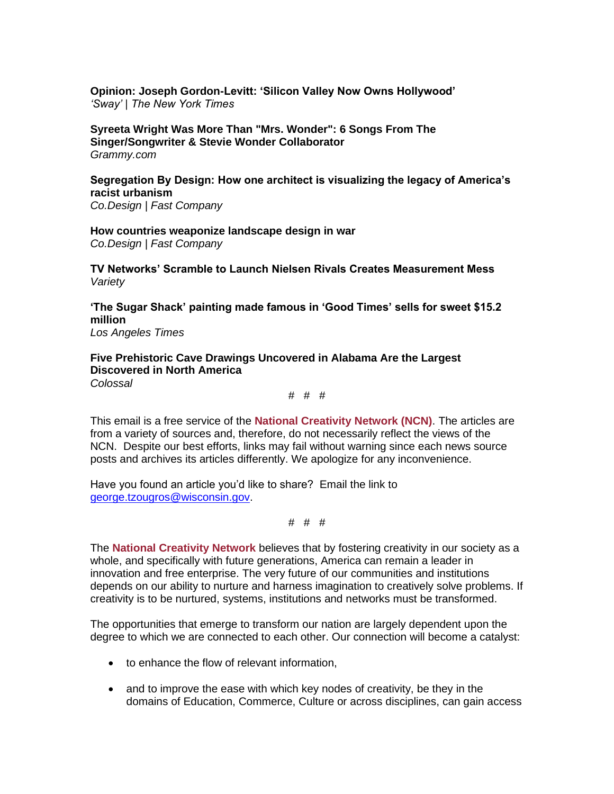**[Opinion: Joseph Gordon-Levitt: 'Silicon Valley Now Owns Hollywood'](https://www.nytimes.com/2021/08/16/opinion/sway-kara-swisher-joseph-gordon-levitt.html)** *'Sway' | The New York Times*

**[Syreeta Wright Was More Than "Mrs. Wonder": 6 Songs From The](https://www.grammy.com/news/syreeta-wright-was-more-than-mrs-stevie-wonder-prolific-singer-songwriter)  [Singer/Songwriter & Stevie Wonder Collaborator](https://www.grammy.com/news/syreeta-wright-was-more-than-mrs-stevie-wonder-prolific-singer-songwriter)** *Grammy.com*

**[Segregation By Design: How one architect is visualizing the legacy of America's](https://www.fastcompany.com/90751871/segregation-by-design-how-one-architect-is-visualizing-the-legacy-of-americas-racist-urbanism)  [racist urbanism](https://www.fastcompany.com/90751871/segregation-by-design-how-one-architect-is-visualizing-the-legacy-of-americas-racist-urbanism)**

*Co.Design | Fast Company* 

**[How countries weaponize landscape design in war](https://www.fastcompany.com/90751626/how-countries-weaponize-landscape-design-in-war)** *Co.Design | Fast Company* 

**[TV Networks' Scramble to Launch Nielsen Rivals Creates Measurement Mess](https://variety.com/2022/tv/news/tv-networks-measurement-nielsen-advertising-1235266792/)** *Variety*

**['The Sugar Shack' painting made famous in 'Good Times' sells for sweet \\$15.2](https://www.latimes.com/entertainment-arts/tv/story/2022-05-13/good-times-painting-the-sugar-shack-sold-ernie-barnes)  [million](https://www.latimes.com/entertainment-arts/tv/story/2022-05-13/good-times-painting-the-sugar-shack-sold-ernie-barnes)** *Los Angeles Times*

**[Five Prehistoric Cave Drawings Uncovered in Alabama Are the Largest](https://www.thisiscolossal.com/2022/05/19th-unnamed-cave-glyphs/)  [Discovered in North America](https://www.thisiscolossal.com/2022/05/19th-unnamed-cave-glyphs/)**

*Colossal*

# # #

This email is a free service of the **National Creativity Network (NCN)**. The articles are from a variety of sources and, therefore, do not necessarily reflect the views of the NCN. Despite our best efforts, links may fail without warning since each news source posts and archives its articles differently. We apologize for any inconvenience.

Have you found an article you'd like to share? Email the link to [george.tzougros@wisconsin.gov.](mailto:george.tzougros@wisconsin.gov)

# # #

The **National Creativity Network** believes that by fostering creativity in our society as a whole, and specifically with future generations, America can remain a leader in innovation and free enterprise. The very future of our communities and institutions depends on our ability to nurture and harness imagination to creatively solve problems. If creativity is to be nurtured, systems, institutions and networks must be transformed.

The opportunities that emerge to transform our nation are largely dependent upon the degree to which we are connected to each other. Our connection will become a catalyst:

- to enhance the flow of relevant information,
- and to improve the ease with which key nodes of creativity, be they in the domains of Education, Commerce, Culture or across disciplines, can gain access